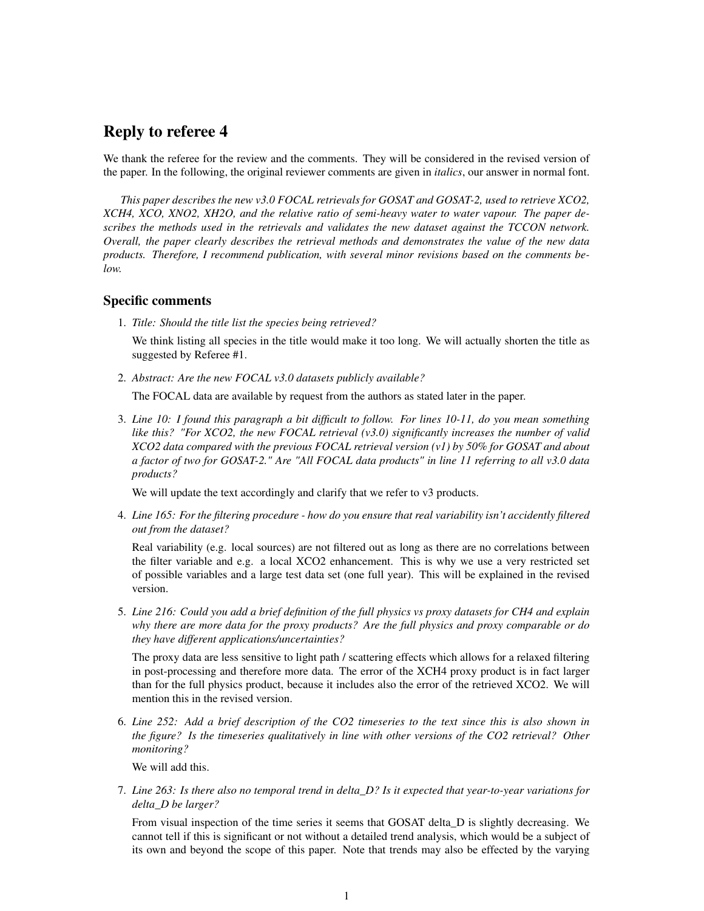## Reply to referee 4

We thank the referee for the review and the comments. They will be considered in the revised version of the paper. In the following, the original reviewer comments are given in *italics*, our answer in normal font.

*This paper describes the new v3.0 FOCAL retrievals for GOSAT and GOSAT-2, used to retrieve XCO2, XCH4, XCO, XNO2, XH2O, and the relative ratio of semi-heavy water to water vapour. The paper describes the methods used in the retrievals and validates the new dataset against the TCCON network. Overall, the paper clearly describes the retrieval methods and demonstrates the value of the new data products. Therefore, I recommend publication, with several minor revisions based on the comments below.*

## Specific comments

1. *Title: Should the title list the species being retrieved?*

We think listing all species in the title would make it too long. We will actually shorten the title as suggested by Referee #1.

2. *Abstract: Are the new FOCAL v3.0 datasets publicly available?*

The FOCAL data are available by request from the authors as stated later in the paper.

3. *Line 10: I found this paragraph a bit difficult to follow. For lines 10-11, do you mean something like this? "For XCO2, the new FOCAL retrieval (v3.0) significantly increases the number of valid XCO2 data compared with the previous FOCAL retrieval version (v1) by 50% for GOSAT and about a factor of two for GOSAT-2." Are "All FOCAL data products" in line 11 referring to all v3.0 data products?*

We will update the text accordingly and clarify that we refer to v3 products.

4. *Line 165: For the filtering procedure - how do you ensure that real variability isn't accidently filtered out from the dataset?*

Real variability (e.g. local sources) are not filtered out as long as there are no correlations between the filter variable and e.g. a local XCO2 enhancement. This is why we use a very restricted set of possible variables and a large test data set (one full year). This will be explained in the revised version.

5. *Line 216: Could you add a brief definition of the full physics vs proxy datasets for CH4 and explain why there are more data for the proxy products? Are the full physics and proxy comparable or do they have different applications/uncertainties?*

The proxy data are less sensitive to light path / scattering effects which allows for a relaxed filtering in post-processing and therefore more data. The error of the XCH4 proxy product is in fact larger than for the full physics product, because it includes also the error of the retrieved XCO2. We will mention this in the revised version.

6. *Line 252: Add a brief description of the CO2 timeseries to the text since this is also shown in the figure? Is the timeseries qualitatively in line with other versions of the CO2 retrieval? Other monitoring?*

We will add this.

7. *Line 263: Is there also no temporal trend in delta\_D? Is it expected that year-to-year variations for delta\_D be larger?*

From visual inspection of the time series it seems that GOSAT delta\_D is slightly decreasing. We cannot tell if this is significant or not without a detailed trend analysis, which would be a subject of its own and beyond the scope of this paper. Note that trends may also be effected by the varying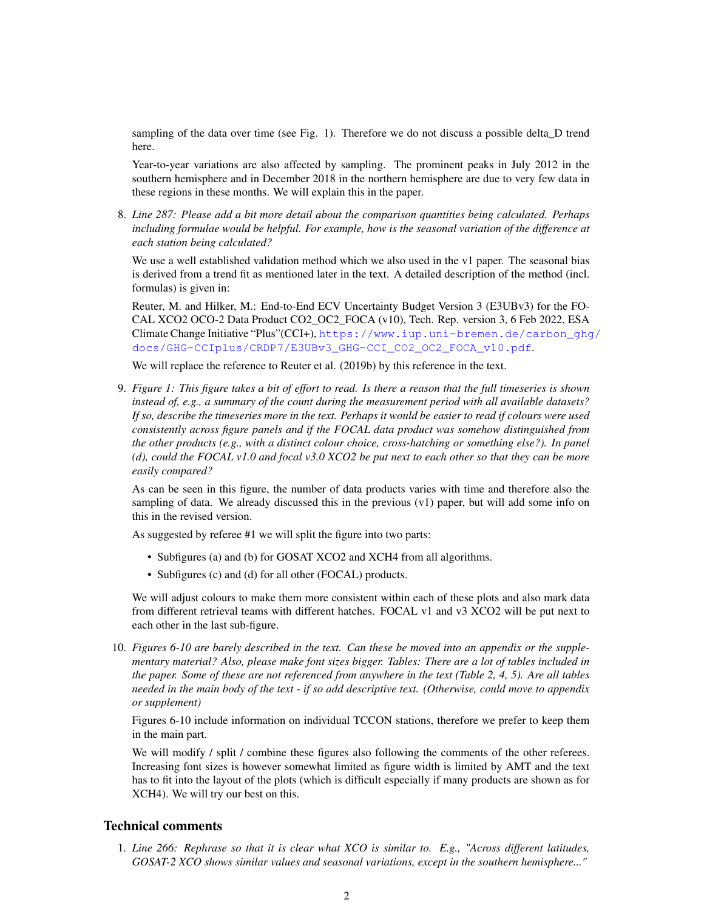sampling of the data over time (see Fig. 1). Therefore we do not discuss a possible delta\_D trend here.

Year-to-year variations are also affected by sampling. The prominent peaks in July 2012 in the southern hemisphere and in December 2018 in the northern hemisphere are due to very few data in these regions in these months. We will explain this in the paper.

8. *Line 287: Please add a bit more detail about the comparison quantities being calculated. Perhaps including formulae would be helpful. For example, how is the seasonal variation of the difference at each station being calculated?*

We use a well established validation method which we also used in the v1 paper. The seasonal bias is derived from a trend fit as mentioned later in the text. A detailed description of the method (incl. formulas) is given in:

Reuter, M. and Hilker, M.: End-to-End ECV Uncertainty Budget Version 3 (E3UBv3) for the FO-CAL XCO2 OCO-2 Data Product CO2\_OC2\_FOCA (v10), Tech. Rep. version 3, 6 Feb 2022, ESA Climate Change Initiative "Plus"(CCI+), [https://www.iup.uni-bremen.de/carbon\\_ghg](https://www.iup.uni-bremen.de/carbon_ghg/docs/GHG-CCIplus/CRDP7/E3UBv3_GHG-CCI_CO2_OC2_FOCA_v10.pdf)/ [docs/GHG-CCIplus/CRDP7/E3UBv3\\_GHG-CCI\\_CO2\\_OC2\\_FOCA\\_v10.pdf](https://www.iup.uni-bremen.de/carbon_ghg/docs/GHG-CCIplus/CRDP7/E3UBv3_GHG-CCI_CO2_OC2_FOCA_v10.pdf).

We will replace the reference to Reuter et al. (2019b) by this reference in the text.

9. *Figure 1: This figure takes a bit of effort to read. Is there a reason that the full timeseries is shown instead of, e.g., a summary of the count during the measurement period with all available datasets? If so, describe the timeseries more in the text. Perhaps it would be easier to read if colours were used consistently across figure panels and if the FOCAL data product was somehow distinguished from the other products (e.g., with a distinct colour choice, cross-hatching or something else?). In panel (d), could the FOCAL v1.0 and focal v3.0 XCO2 be put next to each other so that they can be more easily compared?*

As can be seen in this figure, the number of data products varies with time and therefore also the sampling of data. We already discussed this in the previous (v1) paper, but will add some info on this in the revised version.

As suggested by referee #1 we will split the figure into two parts:

- Subfigures (a) and (b) for GOSAT XCO2 and XCH4 from all algorithms.
- Subfigures (c) and (d) for all other (FOCAL) products.

We will adjust colours to make them more consistent within each of these plots and also mark data from different retrieval teams with different hatches. FOCAL v1 and v3 XCO2 will be put next to each other in the last sub-figure.

10. *Figures 6-10 are barely described in the text. Can these be moved into an appendix or the supplementary material? Also, please make font sizes bigger. Tables: There are a lot of tables included in the paper. Some of these are not referenced from anywhere in the text (Table 2, 4, 5). Are all tables needed in the main body of the text - if so add descriptive text. (Otherwise, could move to appendix or supplement)*

Figures 6-10 include information on individual TCCON stations, therefore we prefer to keep them in the main part.

We will modify / split / combine these figures also following the comments of the other referees. Increasing font sizes is however somewhat limited as figure width is limited by AMT and the text has to fit into the layout of the plots (which is difficult especially if many products are shown as for XCH4). We will try our best on this.

## Technical comments

1. *Line 266: Rephrase so that it is clear what XCO is similar to. E.g., "Across different latitudes, GOSAT-2 XCO shows similar values and seasonal variations, except in the southern hemisphere..."*